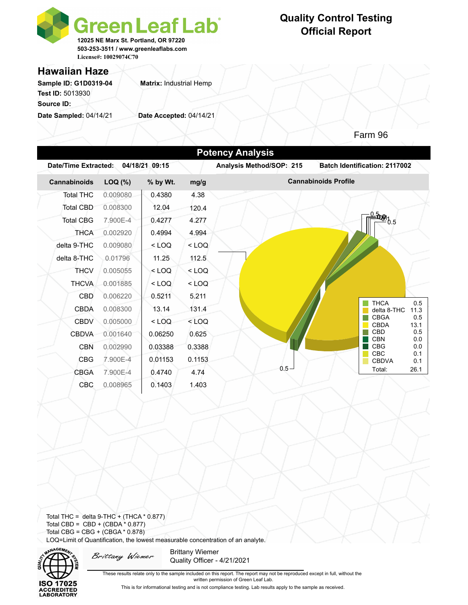

## **Quality Control Testing Official Report**

### **Hawaiian Haze**

Sample ID: G1D0319-04 **Matrix: Industrial Hemp Test ID:** 5013930 **Source ID:** 

**Date Sampled:** 04/14/21 **Date Accepted:** 04/14/21

*Zen and Wellness* Farm 96

| Date/Time Extracted: |          | 04/18/21 09:15 |         | Analysis Method/SOP: 215 | <b>Batch Identification: 2117002</b>      |  |  |
|----------------------|----------|----------------|---------|--------------------------|-------------------------------------------|--|--|
| Cannabinoids         | LOQ (%)  | % by Wt.       | mg/g    |                          | <b>Cannabinoids Profile</b>               |  |  |
| <b>Total THC</b>     | 0.009080 | 0.4380         | 4.38    |                          |                                           |  |  |
| <b>Total CBD</b>     | 0.008300 | 12.04          | 120.4   |                          |                                           |  |  |
| <b>Total CBG</b>     | 7.900E-4 | 0.4277         | 4.277   |                          | <b>≐00%</b> 0.5                           |  |  |
| <b>THCA</b>          | 0.002920 | 0.4994         | 4.994   |                          |                                           |  |  |
| delta 9-THC          | 0.009080 | $<$ LOQ        | $<$ LOQ |                          |                                           |  |  |
| delta 8-THC          | 0.01796  | 11.25          | 112.5   |                          |                                           |  |  |
| <b>THCV</b>          | 0.005055 | $<$ LOQ        | $<$ LOQ |                          |                                           |  |  |
| <b>THCVA</b>         | 0.001885 | $<$ LOQ        | $<$ LOQ |                          |                                           |  |  |
| <b>CBD</b>           | 0.006220 | 0.5211         | 5.211   |                          |                                           |  |  |
| <b>CBDA</b>          | 0.008300 | 13.14          | 131.4   |                          | <b>THCA</b><br>0.5<br>delta 8-THC<br>11.3 |  |  |
| <b>CBDV</b>          | 0.005000 | $<$ LOQ        | $<$ LOQ |                          | <b>CBGA</b><br>0.5<br><b>CBDA</b><br>13.1 |  |  |
| <b>CBDVA</b>         | 0.001640 | 0.06250        | 0.625   |                          | CBD<br>0.5                                |  |  |
| <b>CBN</b>           | 0.002990 | 0.03388        | 0.3388  |                          | <b>CBN</b><br>0.0<br><b>CBG</b><br>0.0    |  |  |
| <b>CBG</b>           | 7.900E-4 | 0.01153        | 0.1153  |                          | <b>CBC</b><br>0.1<br><b>CBDVA</b><br>0.1  |  |  |
| <b>CBGA</b>          | 7.900E-4 | 0.4740         | 4.74    | $0.5 -$                  | Total:<br>26.1                            |  |  |
| CBC                  | 0.008965 | 0.1403         | 1.403   |                          |                                           |  |  |

Total THC = delta  $9$ -THC + (THCA  $*$  0.877) Total CBD =  $CBD + (CBDA * 0.877)$ Total CBG = CBG + (CBGA \* 0.878) LOQ=Limit of Quantification, the lowest measurable concentration of an analyte.



Brittany Wiemer

Brittany Wiemer Quality Officer - 4/21/2021

These results relate only to the sample included on this report. The report may not be reproduced except in full, without the written permission of Green Leaf Lab.

This is for informational testing and is not compliance testing. Lab results apply to the sample as received.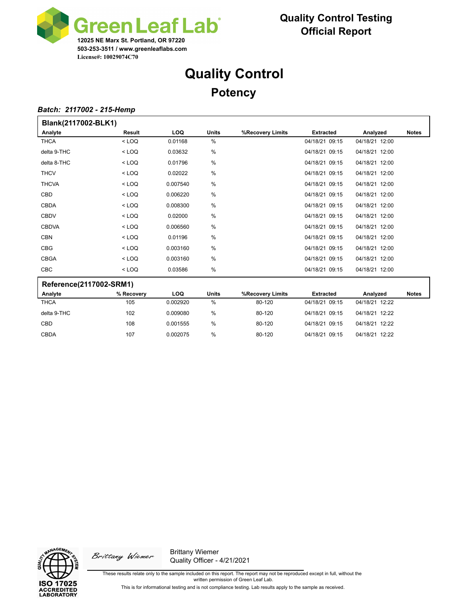

# **Quality Control Potency**

#### *Batch: 2117002 - 215-Hemp*

| Blank(2117002-BLK1)     |               |            |               |                  |                  |                |              |  |  |  |
|-------------------------|---------------|------------|---------------|------------------|------------------|----------------|--------------|--|--|--|
| Analyte                 | <b>Result</b> | <b>LOQ</b> | <b>Units</b>  | %Recovery Limits | <b>Extracted</b> | Analyzed       | <b>Notes</b> |  |  |  |
| <b>THCA</b>             | $<$ LOQ       | 0.01168    | %             |                  | 04/18/21 09:15   | 04/18/21 12:00 |              |  |  |  |
| delta 9-THC             | $<$ LOQ       | 0.03632    | %             |                  | 04/18/21 09:15   | 04/18/21 12:00 |              |  |  |  |
| delta 8-THC             | $<$ LOQ       | 0.01796    | %             |                  | 04/18/21 09:15   | 04/18/21 12:00 |              |  |  |  |
| <b>THCV</b>             | $<$ LOQ       | 0.02022    | $\frac{0}{0}$ |                  | 04/18/21 09:15   | 04/18/21 12:00 |              |  |  |  |
| <b>THCVA</b>            | $<$ LOQ       | 0.007540   | %             |                  | 04/18/21 09:15   | 04/18/21 12:00 |              |  |  |  |
| CBD                     | $<$ LOQ       | 0.006220   | %             |                  | 04/18/21 09:15   | 04/18/21 12:00 |              |  |  |  |
| <b>CBDA</b>             | $<$ LOQ       | 0.008300   | $\frac{0}{0}$ |                  | 04/18/21 09:15   | 04/18/21 12:00 |              |  |  |  |
| <b>CBDV</b>             | $<$ LOQ       | 0.02000    | %             |                  | 04/18/21 09:15   | 04/18/21 12:00 |              |  |  |  |
| <b>CBDVA</b>            | $<$ LOQ       | 0.006560   | %             |                  | 04/18/21 09:15   | 04/18/21 12:00 |              |  |  |  |
| <b>CBN</b>              | $<$ LOQ       | 0.01196    | $\frac{0}{0}$ |                  | 04/18/21 09:15   | 04/18/21 12:00 |              |  |  |  |
| <b>CBG</b>              | $<$ LOQ       | 0.003160   | %             |                  | 04/18/21 09:15   | 04/18/21 12:00 |              |  |  |  |
| <b>CBGA</b>             | $<$ LOQ       | 0.003160   | $\frac{0}{0}$ |                  | 04/18/21 09:15   | 04/18/21 12:00 |              |  |  |  |
| CBC                     | $<$ LOQ       | 0.03586    | $\frac{0}{0}$ |                  | 04/18/21 09:15   | 04/18/21 12:00 |              |  |  |  |
| Reference(2117002-SRM1) |               |            |               |                  |                  |                |              |  |  |  |
| Analyte                 | % Recovery    | LOQ        | <b>Units</b>  | %Recovery Limits | <b>Extracted</b> | Analyzed       | <b>Notes</b> |  |  |  |
| <b>THCA</b>             | 105           | 0.002920   | %             | 80-120           | 04/18/21 09:15   | 04/18/21 12:22 |              |  |  |  |
| delta 9-THC             | 102           | 0.009080   | %             | 80-120           | 04/18/21 09:15   | 04/18/21 12:22 |              |  |  |  |
| CBD                     | 108           | 0.001555   | %             | 80-120           | 04/18/21 09:15   | 04/18/21 12:22 |              |  |  |  |

CBDA 107 0.002075 % 80-120 04/18/21 09:15 04/18/21 12:22



Brittany Wiemer

Brittany Wiemer Quality Officer - 4/21/2021

These results relate only to the sample included on this report. The report may not be reproduced except in full, without the written permission of Green Leaf Lab.

This is for informational testing and is not compliance testing. Lab results apply to the sample as received.